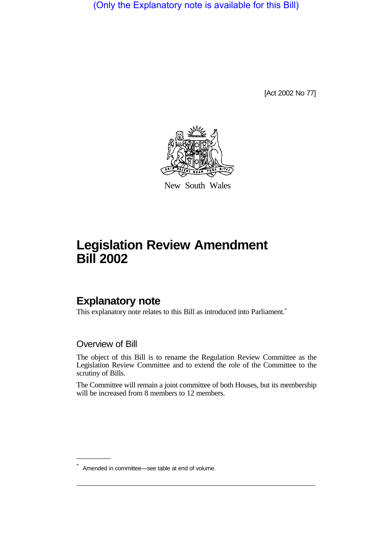(Only the Explanatory note is available for this Bill)

[Act 2002 No 77]



New South Wales

# **Legislation Review Amendment Bill 2002**

## **Explanatory note**

This explanatory note relates to this Bill as introduced into Parliament.<sup>\*</sup>

#### Overview of Bill

The object of this Bill is to rename the Regulation Review Committee as the Legislation Review Committee and to extend the role of the Committee to the scrutiny of Bills.

The Committee will remain a joint committee of both Houses, but its membership will be increased from 8 members to 12 members.

Amended in committee—see table at end of volume.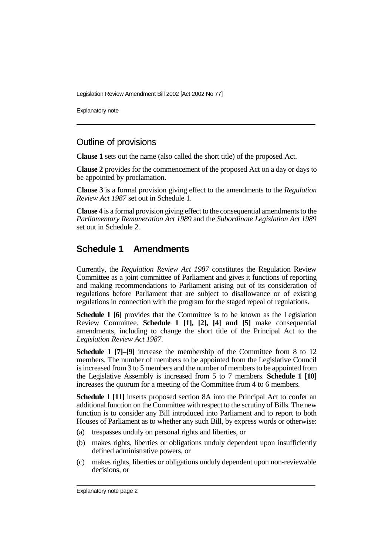Legislation Review Amendment Bill 2002 [Act 2002 No 77]

Explanatory note

#### Outline of provisions

**Clause 1** sets out the name (also called the short title) of the proposed Act.

**Clause 2** provides for the commencement of the proposed Act on a day or days to be appointed by proclamation.

**Clause 3** is a formal provision giving effect to the amendments to the *Regulation Review Act 1987* set out in Schedule 1.

**Clause 4** is a formal provision giving effect to the consequential amendments to the *Parliamentary Remuneration Act 1989* and the *Subordinate Legislation Act 1989* set out in Schedule 2.

#### **Schedule 1 Amendments**

Currently, the *Regulation Review Act 1987* constitutes the Regulation Review Committee as a joint committee of Parliament and gives it functions of reporting and making recommendations to Parliament arising out of its consideration of regulations before Parliament that are subject to disallowance or of existing regulations in connection with the program for the staged repeal of regulations.

**Schedule 1 [6]** provides that the Committee is to be known as the Legislation Review Committee. **Schedule 1 [1], [2], [4] and [5]** make consequential amendments, including to change the short title of the Principal Act to the *Legislation Review Act 1987*.

**Schedule 1 [7]–[9]** increase the membership of the Committee from 8 to 12 members. The number of members to be appointed from the Legislative Council is increased from 3 to 5 members and the number of members to be appointed from the Legislative Assembly is increased from 5 to 7 members. **Schedule 1 [10]** increases the quorum for a meeting of the Committee from 4 to 6 members.

**Schedule 1 [11]** inserts proposed section 8A into the Principal Act to confer an additional function on the Committee with respect to the scrutiny of Bills. The new function is to consider any Bill introduced into Parliament and to report to both Houses of Parliament as to whether any such Bill, by express words or otherwise:

- (a) trespasses unduly on personal rights and liberties, or
- (b) makes rights, liberties or obligations unduly dependent upon insufficiently defined administrative powers, or
- (c) makes rights, liberties or obligations unduly dependent upon non-reviewable decisions, or

Explanatory note page 2